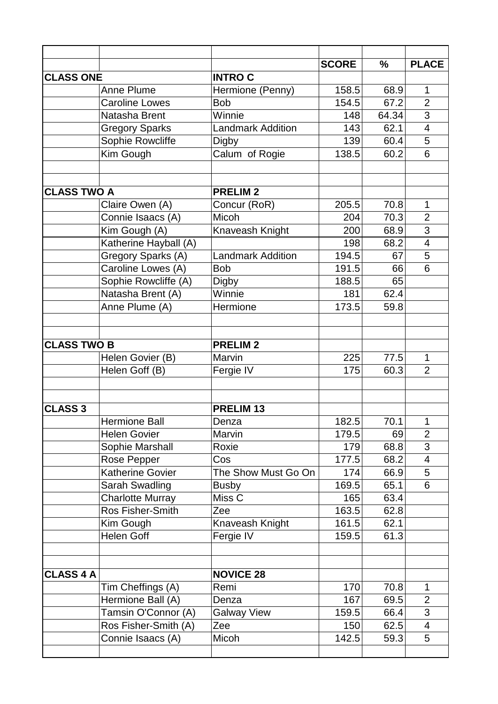|                    |                         |                          | <b>SCORE</b> | $\frac{0}{0}$ | <b>PLACE</b>            |
|--------------------|-------------------------|--------------------------|--------------|---------------|-------------------------|
| <b>CLASS ONE</b>   |                         | <b>INTROC</b>            |              |               |                         |
|                    | <b>Anne Plume</b>       | Hermione (Penny)         | 158.5        | 68.9          | 1                       |
|                    | <b>Caroline Lowes</b>   | <b>Bob</b>               | 154.5        | 67.2          | $\overline{2}$          |
|                    | Natasha Brent           | Winnie                   | 148          | 64.34         | 3                       |
|                    | <b>Gregory Sparks</b>   | <b>Landmark Addition</b> | 143          | 62.1          | $\overline{4}$          |
|                    | Sophie Rowcliffe        | Digby                    | 139          | 60.4          | 5                       |
|                    | Kim Gough               | Calum of Rogie           | 138.5        | 60.2          | 6                       |
|                    |                         |                          |              |               |                         |
| <b>CLASS TWO A</b> |                         | <b>PRELIM2</b>           |              |               |                         |
|                    | Claire Owen (A)         | Concur (RoR)             | 205.5        | 70.8          | 1                       |
|                    | Connie Isaacs (A)       | Micoh                    | 204          | 70.3          | $\overline{2}$          |
|                    | Kim Gough (A)           | Knaveash Knight          | 200          | 68.9          | 3                       |
|                    | Katherine Hayball (A)   |                          | 198          | 68.2          | $\overline{\mathbf{4}}$ |
|                    | Gregory Sparks (A)      | <b>Landmark Addition</b> | 194.5        | 67            | 5                       |
|                    | Caroline Lowes (A)      | <b>Bob</b>               | 191.5        | 66            | 6                       |
|                    | Sophie Rowcliffe (A)    | <b>Digby</b>             | 188.5        | 65            |                         |
|                    | Natasha Brent (A)       | Winnie                   | 181          | 62.4          |                         |
|                    | Anne Plume (A)          | Hermione                 | 173.5        | 59.8          |                         |
|                    |                         |                          |              |               |                         |
| <b>CLASS TWO B</b> |                         | <b>PRELIM2</b>           |              |               |                         |
|                    | Helen Govier (B)        | Marvin                   | 225          | 77.5          | 1                       |
|                    | Helen Goff (B)          | Fergie IV                | 175          | 60.3          | $\overline{2}$          |
|                    |                         |                          |              |               |                         |
| <b>CLASS 3</b>     |                         | <b>PRELIM 13</b>         |              |               |                         |
|                    | Hermione Ball           |                          |              |               | $\mathbf{1}$            |
|                    |                         | Denza                    | 182.5        | 70.1          | $\overline{2}$          |
|                    | <b>Helen Govier</b>     | Marvin                   | 179.5        | 69            |                         |
|                    | Sophie Marshall         | Roxie                    | 179          | 68.8          | 3                       |
|                    | Rose Pepper             | Cos                      | 177.5        | 68.2          | 4                       |
|                    | <b>Katherine Govier</b> | The Show Must Go On      | 174          | 66.9          | 5                       |
|                    | Sarah Swadling          | <b>Busby</b>             | 169.5        | 65.1          | 6                       |
|                    | <b>Charlotte Murray</b> | Miss <sub>C</sub>        | 165          | 63.4          |                         |
|                    | Ros Fisher-Smith        | Zee                      | 163.5        | 62.8          |                         |
|                    | Kim Gough               | Knaveash Knight          | 161.5        | 62.1          |                         |
|                    | <b>Helen Goff</b>       | Fergie IV                | 159.5        | 61.3          |                         |
|                    |                         |                          |              |               |                         |
| <b>CLASS 4 A</b>   |                         | <b>NOVICE 28</b>         |              |               |                         |
|                    | Tim Cheffings (A)       | Remi                     | 170          | 70.8          | 1                       |
|                    | Hermione Ball (A)       | Denza                    | 167          | 69.5          | $\overline{2}$          |
|                    | Tamsin O'Connor (A)     | <b>Galway View</b>       | 159.5        | 66.4          | 3                       |
|                    | Ros Fisher-Smith (A)    | Zee                      | 150          | 62.5          | 4                       |
|                    | Connie Isaacs (A)       | Micoh                    | 142.5        | 59.3          | 5                       |
|                    |                         |                          |              |               |                         |